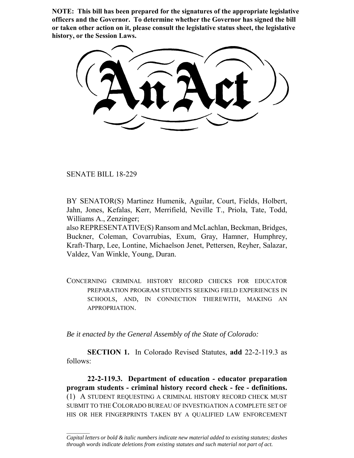**NOTE: This bill has been prepared for the signatures of the appropriate legislative officers and the Governor. To determine whether the Governor has signed the bill or taken other action on it, please consult the legislative status sheet, the legislative history, or the Session Laws.**

SENATE BILL 18-229

 $\frac{1}{2}$ 

BY SENATOR(S) Martinez Humenik, Aguilar, Court, Fields, Holbert, Jahn, Jones, Kefalas, Kerr, Merrifield, Neville T., Priola, Tate, Todd, Williams A., Zenzinger;

also REPRESENTATIVE(S) Ransom and McLachlan, Beckman, Bridges, Buckner, Coleman, Covarrubias, Exum, Gray, Hamner, Humphrey, Kraft-Tharp, Lee, Lontine, Michaelson Jenet, Pettersen, Reyher, Salazar, Valdez, Van Winkle, Young, Duran.

CONCERNING CRIMINAL HISTORY RECORD CHECKS FOR EDUCATOR PREPARATION PROGRAM STUDENTS SEEKING FIELD EXPERIENCES IN SCHOOLS, AND, IN CONNECTION THEREWITH, MAKING AN APPROPRIATION.

*Be it enacted by the General Assembly of the State of Colorado:*

**SECTION 1.** In Colorado Revised Statutes, **add** 22-2-119.3 as follows:

**22-2-119.3. Department of education - educator preparation program students - criminal history record check - fee - definitions.** (1) A STUDENT REQUESTING A CRIMINAL HISTORY RECORD CHECK MUST SUBMIT TO THE COLORADO BUREAU OF INVESTIGATION A COMPLETE SET OF HIS OR HER FINGERPRINTS TAKEN BY A QUALIFIED LAW ENFORCEMENT

*Capital letters or bold & italic numbers indicate new material added to existing statutes; dashes through words indicate deletions from existing statutes and such material not part of act.*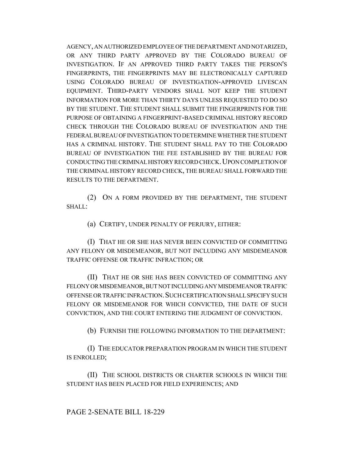AGENCY, AN AUTHORIZED EMPLOYEE OF THE DEPARTMENT AND NOTARIZED, OR ANY THIRD PARTY APPROVED BY THE COLORADO BUREAU OF INVESTIGATION. IF AN APPROVED THIRD PARTY TAKES THE PERSON'S FINGERPRINTS, THE FINGERPRINTS MAY BE ELECTRONICALLY CAPTURED USING COLORADO BUREAU OF INVESTIGATION-APPROVED LIVESCAN EQUIPMENT. THIRD-PARTY VENDORS SHALL NOT KEEP THE STUDENT INFORMATION FOR MORE THAN THIRTY DAYS UNLESS REQUESTED TO DO SO BY THE STUDENT. THE STUDENT SHALL SUBMIT THE FINGERPRINTS FOR THE PURPOSE OF OBTAINING A FINGERPRINT-BASED CRIMINAL HISTORY RECORD CHECK THROUGH THE COLORADO BUREAU OF INVESTIGATION AND THE FEDERAL BUREAU OF INVESTIGATION TO DETERMINE WHETHER THE STUDENT HAS A CRIMINAL HISTORY. THE STUDENT SHALL PAY TO THE COLORADO BUREAU OF INVESTIGATION THE FEE ESTABLISHED BY THE BUREAU FOR CONDUCTING THE CRIMINAL HISTORY RECORD CHECK. UPON COMPLETION OF THE CRIMINAL HISTORY RECORD CHECK, THE BUREAU SHALL FORWARD THE RESULTS TO THE DEPARTMENT.

(2) ON A FORM PROVIDED BY THE DEPARTMENT, THE STUDENT SHALL:

(a) CERTIFY, UNDER PENALTY OF PERJURY, EITHER:

(I) THAT HE OR SHE HAS NEVER BEEN CONVICTED OF COMMITTING ANY FELONY OR MISDEMEANOR, BUT NOT INCLUDING ANY MISDEMEANOR TRAFFIC OFFENSE OR TRAFFIC INFRACTION; OR

(II) THAT HE OR SHE HAS BEEN CONVICTED OF COMMITTING ANY FELONY OR MISDEMEANOR, BUT NOT INCLUDING ANY MISDEMEANOR TRAFFIC OFFENSE OR TRAFFIC INFRACTION.SUCH CERTIFICATION SHALL SPECIFY SUCH FELONY OR MISDEMEANOR FOR WHICH CONVICTED, THE DATE OF SUCH CONVICTION, AND THE COURT ENTERING THE JUDGMENT OF CONVICTION.

(b) FURNISH THE FOLLOWING INFORMATION TO THE DEPARTMENT:

(I) THE EDUCATOR PREPARATION PROGRAM IN WHICH THE STUDENT IS ENROLLED;

(II) THE SCHOOL DISTRICTS OR CHARTER SCHOOLS IN WHICH THE STUDENT HAS BEEN PLACED FOR FIELD EXPERIENCES; AND

PAGE 2-SENATE BILL 18-229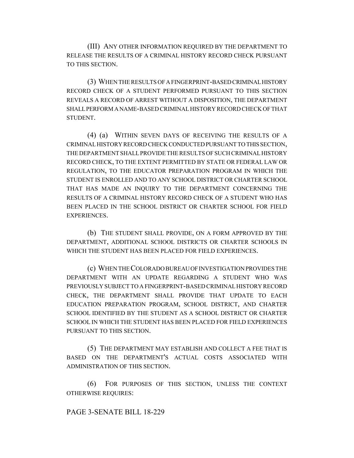(III) ANY OTHER INFORMATION REQUIRED BY THE DEPARTMENT TO RELEASE THE RESULTS OF A CRIMINAL HISTORY RECORD CHECK PURSUANT TO THIS SECTION.

(3) WHEN THE RESULTS OF A FINGERPRINT-BASED CRIMINAL HISTORY RECORD CHECK OF A STUDENT PERFORMED PURSUANT TO THIS SECTION REVEALS A RECORD OF ARREST WITHOUT A DISPOSITION, THE DEPARTMENT SHALL PERFORM A NAME-BASED CRIMINAL HISTORY RECORD CHECK OF THAT STUDENT.

(4) (a) WITHIN SEVEN DAYS OF RECEIVING THE RESULTS OF A CRIMINAL HISTORY RECORD CHECK CONDUCTED PURSUANT TO THIS SECTION, THE DEPARTMENT SHALL PROVIDE THE RESULTS OF SUCH CRIMINAL HISTORY RECORD CHECK, TO THE EXTENT PERMITTED BY STATE OR FEDERAL LAW OR REGULATION, TO THE EDUCATOR PREPARATION PROGRAM IN WHICH THE STUDENT IS ENROLLED AND TO ANY SCHOOL DISTRICT OR CHARTER SCHOOL THAT HAS MADE AN INQUIRY TO THE DEPARTMENT CONCERNING THE RESULTS OF A CRIMINAL HISTORY RECORD CHECK OF A STUDENT WHO HAS BEEN PLACED IN THE SCHOOL DISTRICT OR CHARTER SCHOOL FOR FIELD EXPERIENCES.

(b) THE STUDENT SHALL PROVIDE, ON A FORM APPROVED BY THE DEPARTMENT, ADDITIONAL SCHOOL DISTRICTS OR CHARTER SCHOOLS IN WHICH THE STUDENT HAS BEEN PLACED FOR FIELD EXPERIENCES.

(c) WHEN THE COLORADO BUREAU OF INVESTIGATION PROVIDES THE DEPARTMENT WITH AN UPDATE REGARDING A STUDENT WHO WAS PREVIOUSLY SUBJECT TO A FINGERPRINT-BASED CRIMINAL HISTORY RECORD CHECK, THE DEPARTMENT SHALL PROVIDE THAT UPDATE TO EACH EDUCATION PREPARATION PROGRAM, SCHOOL DISTRICT, AND CHARTER SCHOOL IDENTIFIED BY THE STUDENT AS A SCHOOL DISTRICT OR CHARTER SCHOOL IN WHICH THE STUDENT HAS BEEN PLACED FOR FIELD EXPERIENCES PURSUANT TO THIS SECTION.

(5) THE DEPARTMENT MAY ESTABLISH AND COLLECT A FEE THAT IS BASED ON THE DEPARTMENT'S ACTUAL COSTS ASSOCIATED WITH ADMINISTRATION OF THIS SECTION.

(6) FOR PURPOSES OF THIS SECTION, UNLESS THE CONTEXT OTHERWISE REQUIRES:

## PAGE 3-SENATE BILL 18-229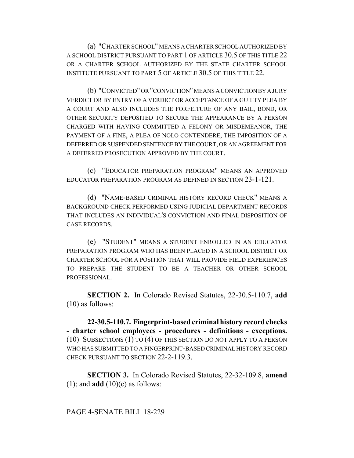(a) "CHARTER SCHOOL" MEANS A CHARTER SCHOOL AUTHORIZED BY A SCHOOL DISTRICT PURSUANT TO PART 1 OF ARTICLE 30.5 OF THIS TITLE 22 OR A CHARTER SCHOOL AUTHORIZED BY THE STATE CHARTER SCHOOL INSTITUTE PURSUANT TO PART 5 OF ARTICLE 30.5 OF THIS TITLE 22.

(b) "CONVICTED" OR "CONVICTION" MEANS A CONVICTION BY A JURY VERDICT OR BY ENTRY OF A VERDICT OR ACCEPTANCE OF A GUILTY PLEA BY A COURT AND ALSO INCLUDES THE FORFEITURE OF ANY BAIL, BOND, OR OTHER SECURITY DEPOSITED TO SECURE THE APPEARANCE BY A PERSON CHARGED WITH HAVING COMMITTED A FELONY OR MISDEMEANOR, THE PAYMENT OF A FINE, A PLEA OF NOLO CONTENDERE, THE IMPOSITION OF A DEFERRED OR SUSPENDED SENTENCE BY THE COURT, OR AN AGREEMENT FOR A DEFERRED PROSECUTION APPROVED BY THE COURT.

(c) "EDUCATOR PREPARATION PROGRAM" MEANS AN APPROVED EDUCATOR PREPARATION PROGRAM AS DEFINED IN SECTION 23-1-121.

(d) "NAME-BASED CRIMINAL HISTORY RECORD CHECK" MEANS A BACKGROUND CHECK PERFORMED USING JUDICIAL DEPARTMENT RECORDS THAT INCLUDES AN INDIVIDUAL'S CONVICTION AND FINAL DISPOSITION OF CASE RECORDS.

(e) "STUDENT" MEANS A STUDENT ENROLLED IN AN EDUCATOR PREPARATION PROGRAM WHO HAS BEEN PLACED IN A SCHOOL DISTRICT OR CHARTER SCHOOL FOR A POSITION THAT WILL PROVIDE FIELD EXPERIENCES TO PREPARE THE STUDENT TO BE A TEACHER OR OTHER SCHOOL PROFESSIONAL.

**SECTION 2.** In Colorado Revised Statutes, 22-30.5-110.7, **add** (10) as follows:

**22-30.5-110.7. Fingerprint-based criminal history record checks - charter school employees - procedures - definitions - exceptions.** (10) SUBSECTIONS (1) TO (4) OF THIS SECTION DO NOT APPLY TO A PERSON WHO HAS SUBMITTED TO A FINGERPRINT-BASED CRIMINAL HISTORY RECORD CHECK PURSUANT TO SECTION 22-2-119.3.

**SECTION 3.** In Colorado Revised Statutes, 22-32-109.8, **amend** (1); and **add** (10)(c) as follows: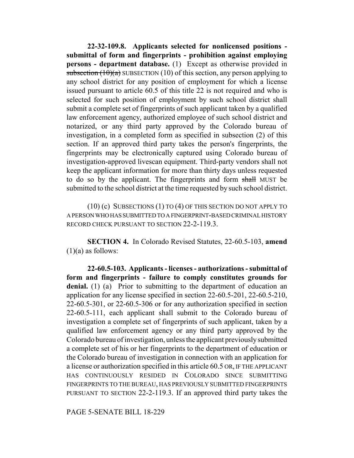**22-32-109.8. Applicants selected for nonlicensed positions submittal of form and fingerprints - prohibition against employing persons - department database.** (1) Except as otherwise provided in subsection  $(10)(a)$  SUBSECTION (10) of this section, any person applying to any school district for any position of employment for which a license issued pursuant to article 60.5 of this title 22 is not required and who is selected for such position of employment by such school district shall submit a complete set of fingerprints of such applicant taken by a qualified law enforcement agency, authorized employee of such school district and notarized, or any third party approved by the Colorado bureau of investigation, in a completed form as specified in subsection (2) of this section. If an approved third party takes the person's fingerprints, the fingerprints may be electronically captured using Colorado bureau of investigation-approved livescan equipment. Third-party vendors shall not keep the applicant information for more than thirty days unless requested to do so by the applicant. The fingerprints and form shall MUST be submitted to the school district at the time requested by such school district.

(10) (c) SUBSECTIONS (1) TO (4) OF THIS SECTION DO NOT APPLY TO A PERSON WHO HAS SUBMITTED TO A FINGERPRINT-BASED CRIMINAL HISTORY RECORD CHECK PURSUANT TO SECTION 22-2-119.3.

**SECTION 4.** In Colorado Revised Statutes, 22-60.5-103, **amend**  $(1)(a)$  as follows:

**22-60.5-103. Applicants - licenses - authorizations - submittal of form and fingerprints - failure to comply constitutes grounds for** denial. (1) (a) Prior to submitting to the department of education an application for any license specified in section 22-60.5-201, 22-60.5-210, 22-60.5-301, or 22-60.5-306 or for any authorization specified in section 22-60.5-111, each applicant shall submit to the Colorado bureau of investigation a complete set of fingerprints of such applicant, taken by a qualified law enforcement agency or any third party approved by the Colorado bureau of investigation, unless the applicant previously submitted a complete set of his or her fingerprints to the department of education or the Colorado bureau of investigation in connection with an application for a license or authorization specified in this article 60.5 OR, IF THE APPLICANT HAS CONTINUOUSLY RESIDED IN COLORADO SINCE SUBMITTING FINGERPRINTS TO THE BUREAU, HAS PREVIOUSLY SUBMITTED FINGERPRINTS PURSUANT TO SECTION 22-2-119.3. If an approved third party takes the

PAGE 5-SENATE BILL 18-229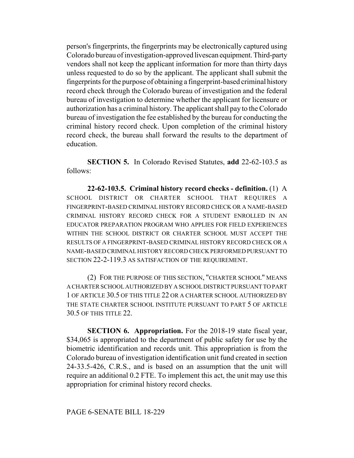person's fingerprints, the fingerprints may be electronically captured using Colorado bureau of investigation-approved livescan equipment. Third-party vendors shall not keep the applicant information for more than thirty days unless requested to do so by the applicant. The applicant shall submit the fingerprints for the purpose of obtaining a fingerprint-based criminal history record check through the Colorado bureau of investigation and the federal bureau of investigation to determine whether the applicant for licensure or authorization has a criminal history. The applicant shall pay to the Colorado bureau of investigation the fee established by the bureau for conducting the criminal history record check. Upon completion of the criminal history record check, the bureau shall forward the results to the department of education.

**SECTION 5.** In Colorado Revised Statutes, **add** 22-62-103.5 as follows:

**22-62-103.5. Criminal history record checks - definition.** (1) A SCHOOL DISTRICT OR CHARTER SCHOOL THAT REQUIRES A FINGERPRINT-BASED CRIMINAL HISTORY RECORD CHECK OR A NAME-BASED CRIMINAL HISTORY RECORD CHECK FOR A STUDENT ENROLLED IN AN EDUCATOR PREPARATION PROGRAM WHO APPLIES FOR FIELD EXPERIENCES WITHIN THE SCHOOL DISTRICT OR CHARTER SCHOOL MUST ACCEPT THE RESULTS OF A FINGERPRINT-BASED CRIMINAL HISTORY RECORD CHECK OR A NAME-BASED CRIMINAL HISTORY RECORD CHECK PERFORMED PURSUANT TO SECTION 22-2-119.3 AS SATISFACTION OF THE REQUIREMENT.

(2) FOR THE PURPOSE OF THIS SECTION, "CHARTER SCHOOL" MEANS A CHARTER SCHOOL AUTHORIZED BY A SCHOOL DISTRICT PURSUANT TO PART 1 OF ARTICLE 30.5 OF THIS TITLE 22 OR A CHARTER SCHOOL AUTHORIZED BY THE STATE CHARTER SCHOOL INSTITUTE PURSUANT TO PART 5 OF ARTICLE 30.5 OF THIS TITLE 22.

**SECTION 6. Appropriation.** For the 2018-19 state fiscal year, \$34,065 is appropriated to the department of public safety for use by the biometric identification and records unit. This appropriation is from the Colorado bureau of investigation identification unit fund created in section 24-33.5-426, C.R.S., and is based on an assumption that the unit will require an additional 0.2 FTE. To implement this act, the unit may use this appropriation for criminal history record checks.

PAGE 6-SENATE BILL 18-229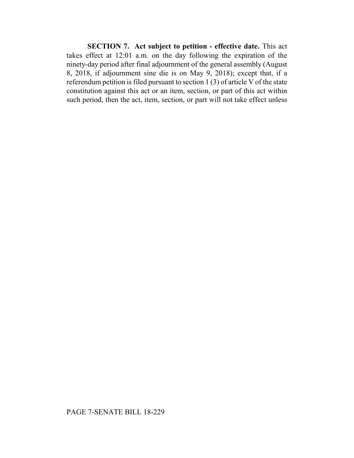**SECTION 7. Act subject to petition - effective date.** This act takes effect at 12:01 a.m. on the day following the expiration of the ninety-day period after final adjournment of the general assembly (August 8, 2018, if adjournment sine die is on May 9, 2018); except that, if a referendum petition is filed pursuant to section 1 (3) of article V of the state constitution against this act or an item, section, or part of this act within such period, then the act, item, section, or part will not take effect unless